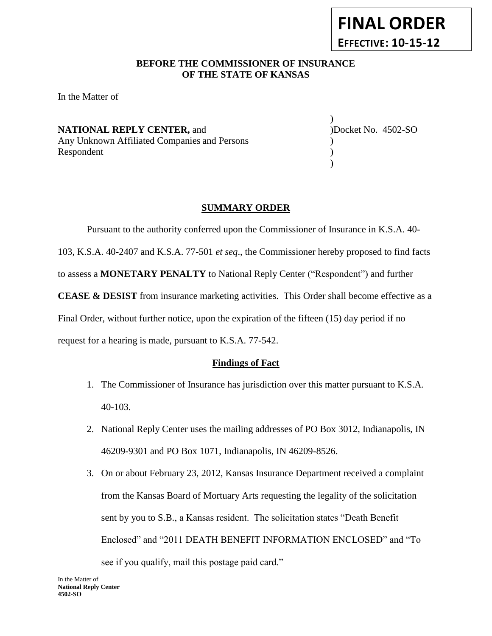## **BEFORE THE COMMISSIONER OF INSURANCE** *-12***OF THE STATE OF KANSAS**

In the Matter of

**NATIONAL REPLY CENTER, and Docket No. 4502-SO** Any Unknown Affiliated Companies and Persons ) Respondent  $\qquad$  (1)

) )

**FINAL ORDER**

**EFFECTIVE: 10-15-12**

### **SUMMARY ORDER**

Pursuant to the authority conferred upon the Commissioner of Insurance in K.S.A. 40- 103, K.S.A. 40-2407 and K.S.A. 77-501 *et seq*., the Commissioner hereby proposed to find facts to assess a **MONETARY PENALTY** to National Reply Center ("Respondent") and further **CEASE & DESIST** from insurance marketing activities. This Order shall become effective as a Final Order, without further notice, upon the expiration of the fifteen (15) day period if no request for a hearing is made, pursuant to K.S.A. 77-542.

### **Findings of Fact**

- 1. The Commissioner of Insurance has jurisdiction over this matter pursuant to K.S.A. 40-103.
- 2. National Reply Center uses the mailing addresses of PO Box 3012, Indianapolis, IN 46209-9301 and PO Box 1071, Indianapolis, IN 46209-8526.
- 3. On or about February 23, 2012, Kansas Insurance Department received a complaint from the Kansas Board of Mortuary Arts requesting the legality of the solicitation sent by you to S.B., a Kansas resident. The solicitation states "Death Benefit Enclosed" and "2011 DEATH BENEFIT INFORMATION ENCLOSED" and "To see if you qualify, mail this postage paid card."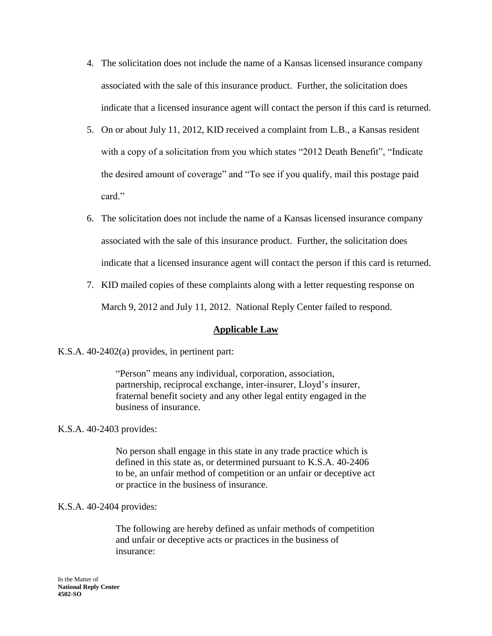- 4. The solicitation does not include the name of a Kansas licensed insurance company associated with the sale of this insurance product. Further, the solicitation does indicate that a licensed insurance agent will contact the person if this card is returned.
- 5. On or about July 11, 2012, KID received a complaint from L.B., a Kansas resident with a copy of a solicitation from you which states "2012 Death Benefit", "Indicate the desired amount of coverage" and "To see if you qualify, mail this postage paid card"
- 6. The solicitation does not include the name of a Kansas licensed insurance company associated with the sale of this insurance product. Further, the solicitation does indicate that a licensed insurance agent will contact the person if this card is returned.
- 7. KID mailed copies of these complaints along with a letter requesting response on March 9, 2012 and July 11, 2012. National Reply Center failed to respond.

## **Applicable Law**

K.S.A. 40-2402(a) provides, in pertinent part:

"Person" means any individual, corporation, association, partnership, reciprocal exchange, inter-insurer, Lloyd's insurer, fraternal benefit society and any other legal entity engaged in the business of insurance.

### K.S.A. 40-2403 provides:

No person shall engage in this state in any trade practice which is defined in this state as, or determined pursuant to K.S.A. 40-2406 to be, an unfair method of competition or an unfair or deceptive act or practice in the business of insurance.

### K.S.A. 40-2404 provides:

The following are hereby defined as unfair methods of competition and unfair or deceptive acts or practices in the business of insurance: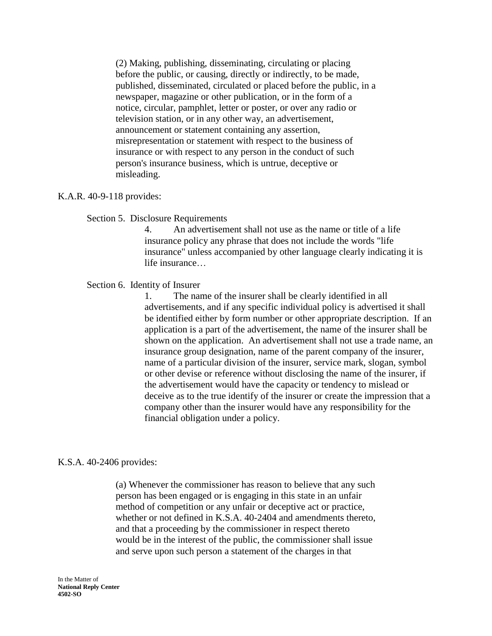(2) Making, publishing, disseminating, circulating or placing before the public, or causing, directly or indirectly, to be made, published, disseminated, circulated or placed before the public, in a newspaper, magazine or other publication, or in the form of a notice, circular, pamphlet, letter or poster, or over any radio or television station, or in any other way, an advertisement, announcement or statement containing any assertion, misrepresentation or statement with respect to the business of insurance or with respect to any person in the conduct of such person's insurance business, which is untrue, deceptive or misleading.

### K.A.R. 40-9-118 provides:

Section 5. Disclosure Requirements

4. An advertisement shall not use as the name or title of a life insurance policy any phrase that does not include the words "life insurance" unless accompanied by other language clearly indicating it is life insurance…

Section 6. Identity of Insurer

1. The name of the insurer shall be clearly identified in all advertisements, and if any specific individual policy is advertised it shall be identified either by form number or other appropriate description. If an application is a part of the advertisement, the name of the insurer shall be shown on the application. An advertisement shall not use a trade name, an insurance group designation, name of the parent company of the insurer, name of a particular division of the insurer, service mark, slogan, symbol or other devise or reference without disclosing the name of the insurer, if the advertisement would have the capacity or tendency to mislead or deceive as to the true identify of the insurer or create the impression that a company other than the insurer would have any responsibility for the financial obligation under a policy.

#### K.S.A. 40-2406 provides:

(a) Whenever the commissioner has reason to believe that any such person has been engaged or is engaging in this state in an unfair method of competition or any unfair or deceptive act or practice, whether or not defined in K.S.A. 40-2404 and amendments thereto, and that a proceeding by the commissioner in respect thereto would be in the interest of the public, the commissioner shall issue and serve upon such person a statement of the charges in that

In the Matter of **National Reply Center 4502-SO**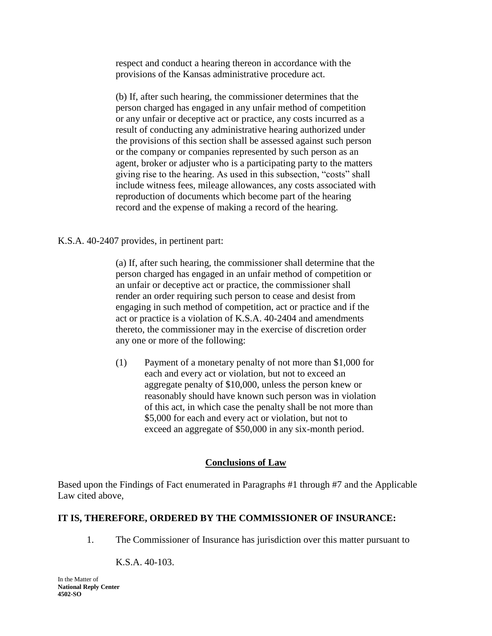respect and conduct a hearing thereon in accordance with the provisions of the Kansas administrative procedure act.

(b) If, after such hearing, the commissioner determines that the person charged has engaged in any unfair method of competition or any unfair or deceptive act or practice, any costs incurred as a result of conducting any administrative hearing authorized under the provisions of this section shall be assessed against such person or the company or companies represented by such person as an agent, broker or adjuster who is a participating party to the matters giving rise to the hearing. As used in this subsection, "costs" shall include witness fees, mileage allowances, any costs associated with reproduction of documents which become part of the hearing record and the expense of making a record of the hearing.

K.S.A. 40-2407 provides, in pertinent part:

(a) If, after such hearing, the commissioner shall determine that the person charged has engaged in an unfair method of competition or an unfair or deceptive act or practice, the commissioner shall render an order requiring such person to cease and desist from engaging in such method of competition, act or practice and if the act or practice is a violation of K.S.A. 40-2404 and amendments thereto, the commissioner may in the exercise of discretion order any one or more of the following:

(1) Payment of a monetary penalty of not more than \$1,000 for each and every act or violation, but not to exceed an aggregate penalty of \$10,000, unless the person knew or reasonably should have known such person was in violation of this act, in which case the penalty shall be not more than \$5,000 for each and every act or violation, but not to exceed an aggregate of \$50,000 in any six-month period.

## **Conclusions of Law**

Based upon the Findings of Fact enumerated in Paragraphs #1 through #7 and the Applicable Law cited above,

## **IT IS, THEREFORE, ORDERED BY THE COMMISSIONER OF INSURANCE:**

1. The Commissioner of Insurance has jurisdiction over this matter pursuant to

K.S.A. 40-103.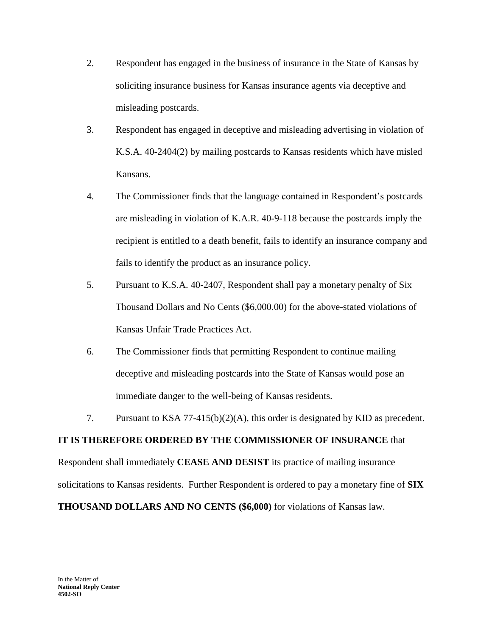- 2. Respondent has engaged in the business of insurance in the State of Kansas by soliciting insurance business for Kansas insurance agents via deceptive and misleading postcards.
- 3. Respondent has engaged in deceptive and misleading advertising in violation of K.S.A. 40-2404(2) by mailing postcards to Kansas residents which have misled Kansans.
- 4. The Commissioner finds that the language contained in Respondent's postcards are misleading in violation of K.A.R. 40-9-118 because the postcards imply the recipient is entitled to a death benefit, fails to identify an insurance company and fails to identify the product as an insurance policy.
- 5. Pursuant to K.S.A. 40-2407, Respondent shall pay a monetary penalty of Six Thousand Dollars and No Cents (\$6,000.00) for the above-stated violations of Kansas Unfair Trade Practices Act.
- 6. The Commissioner finds that permitting Respondent to continue mailing deceptive and misleading postcards into the State of Kansas would pose an immediate danger to the well-being of Kansas residents.
- 7. Pursuant to KSA 77-415(b)(2)(A), this order is designated by KID as precedent.

# **IT IS THEREFORE ORDERED BY THE COMMISSIONER OF INSURANCE** that

Respondent shall immediately **CEASE AND DESIST** its practice of mailing insurance solicitations to Kansas residents. Further Respondent is ordered to pay a monetary fine of **SIX THOUSAND DOLLARS AND NO CENTS (\$6,000)** for violations of Kansas law.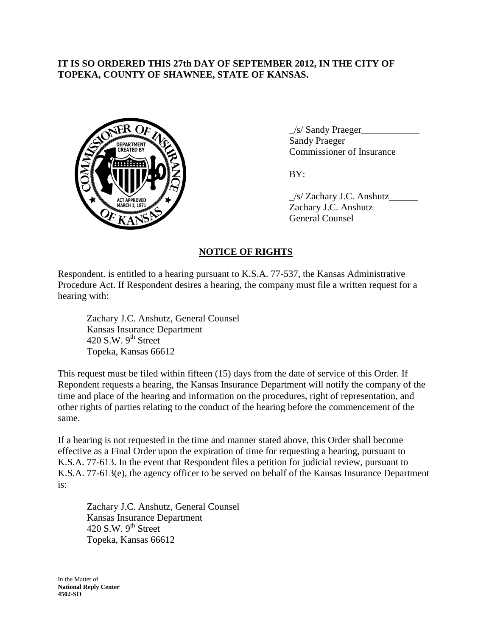### **IT IS SO ORDERED THIS 27th DAY OF SEPTEMBER 2012, IN THE CITY OF TOPEKA, COUNTY OF SHAWNEE, STATE OF KANSAS.**



 $\angle$ s/ Sandy Praeger $\angle$ Sandy Praeger Commissioner of Insurance

 $BY:$ 

\_/s/ Zachary J.C. Anshutz\_\_\_\_\_\_ Zachary J.C. Anshutz General Counsel

## **NOTICE OF RIGHTS**

Respondent. is entitled to a hearing pursuant to K.S.A. 77-537, the Kansas Administrative Procedure Act. If Respondent desires a hearing, the company must file a written request for a hearing with:

Zachary J.C. Anshutz, General Counsel Kansas Insurance Department 420 S.W.  $9<sup>th</sup>$  Street Topeka, Kansas 66612

This request must be filed within fifteen (15) days from the date of service of this Order. If Repondent requests a hearing, the Kansas Insurance Department will notify the company of the time and place of the hearing and information on the procedures, right of representation, and other rights of parties relating to the conduct of the hearing before the commencement of the same.

If a hearing is not requested in the time and manner stated above, this Order shall become effective as a Final Order upon the expiration of time for requesting a hearing, pursuant to K.S.A. 77-613. In the event that Respondent files a petition for judicial review, pursuant to K.S.A. 77-613(e), the agency officer to be served on behalf of the Kansas Insurance Department is:

Zachary J.C. Anshutz, General Counsel Kansas Insurance Department 420 S.W.  $9^{th}$  Street Topeka, Kansas 66612

In the Matter of **National Reply Center 4502-SO**